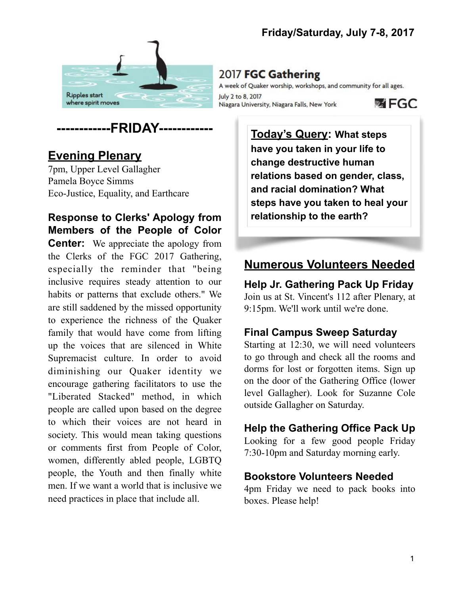



# **Evening Plenary**

7pm, Upper Level Gallagher Pamela Boyce Simms Eco-Justice, Equality, and Earthcare

# **Response to Clerks' Apology from Members of the People of Color**

**Center:** We appreciate the apology from the Clerks of the FGC 2017 Gathering, especially the reminder that "being inclusive requires steady attention to our habits or patterns that exclude others." We are still saddened by the missed opportunity to experience the richness of the Quaker family that would have come from lifting up the voices that are silenced in White Supremacist culture. In order to avoid diminishing our Quaker identity we encourage gathering facilitators to use the "Liberated Stacked" method, in which people are called upon based on the degree to which their voices are not heard in society. This would mean taking questions or comments first from People of Color, women, differently abled people, LGBTQ people, the Youth and then finally white men. If we want a world that is inclusive we need practices in place that include all.

A week of Quaker worship, workshops, and community for all ages. July 2 to 8, 2017 **函 FGC** Niagara University, Niagara Falls, New York

> **Today's Query: What steps have you taken in your life to change destructive human relations based on gender, class, and racial domination? What steps have you taken to heal your relationship to the earth?**

# **Numerous Volunteers Needed**

**Help Jr. Gathering Pack Up Friday** Join us at St. Vincent's 112 after Plenary, at 9:15pm. We'll work until we're done.

#### **Final Campus Sweep Saturday**

Starting at 12:30, we will need volunteers to go through and check all the rooms and dorms for lost or forgotten items. Sign up on the door of the Gathering Office (lower level Gallagher). Look for Suzanne Cole outside Gallagher on Saturday.

#### **Help the Gathering Office Pack Up**

Looking for a few good people Friday 7:30-10pm and Saturday morning early.

#### **Bookstore Volunteers Needed**

4pm Friday we need to pack books into boxes. Please help!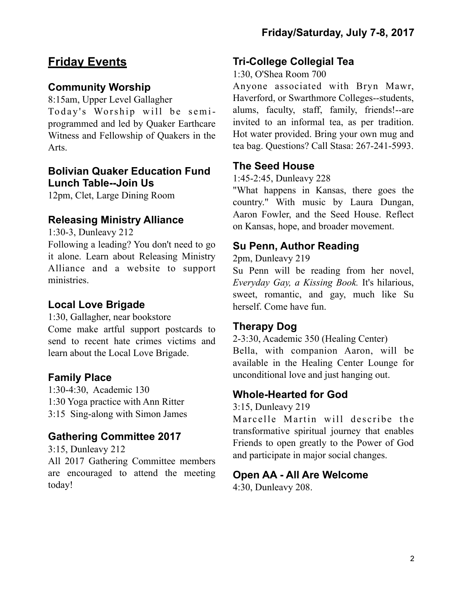# **Friday Events**

### **Community Worship**

8:15am, Upper Level Gallagher Today's Worship will be semiprogrammed and led by Quaker Earthcare Witness and Fellowship of Quakers in the Arts.

#### **Bolivian Quaker Education Fund Lunch Table--Join Us**

12pm, Clet, Large Dining Room

## **Releasing Ministry Alliance**

1:30-3, Dunleavy 212

Following a leading? You don't need to go it alone. Learn about Releasing Ministry Alliance and a website to support ministries.

## **Local Love Brigade**

1:30, Gallagher, near bookstore

Come make artful support postcards to send to recent hate crimes victims and learn about the Local Love Brigade.

## **Family Place**

1:30-4:30, Academic 130 1:30 Yoga practice with Ann Ritter 3:15 Sing-along with Simon James

# **Gathering Committee 2017**

3:15, Dunleavy 212 All 2017 Gathering Committee members are encouraged to attend the meeting today!

### **Tri-College Collegial Tea**

#### 1:30, O'Shea Room 700

Anyone associated with Bryn Mawr, Haverford, or Swarthmore Colleges--students, alums, faculty, staff, family, friends!--are invited to an informal tea, as per tradition. Hot water provided. Bring your own mug and tea bag. Questions? Call Stasa: 267-241-5993.

#### **The Seed House**

#### 1:45-2:45, Dunleavy 228

"What happens in Kansas, there goes the country." With music by Laura Dungan, Aaron Fowler, and the Seed House. Reflect on Kansas, hope, and broader movement.

### **Su Penn, Author Reading**

2pm, Dunleavy 219

Su Penn will be reading from her novel, *Everyday Gay, a Kissing Book.* It's hilarious, sweet, romantic, and gay, much like Su herself. Come have fun.

#### **Therapy Dog**

2-3:30, Academic 350 (Healing Center) Bella, with companion Aaron, will be available in the Healing Center Lounge for unconditional love and just hanging out.

## **Whole-Hearted for God**

3:15, Dunleavy 219

Marcelle Martin will describe the transformative spiritual journey that enables Friends to open greatly to the Power of God and participate in major social changes.

#### **Open AA - All Are Welcome**

4:30, Dunleavy 208.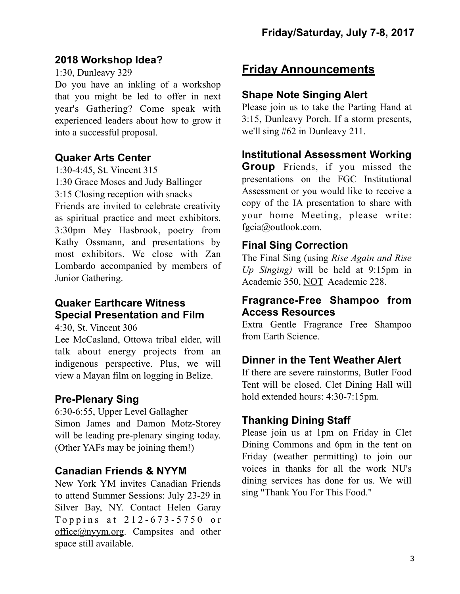#### **2018 Workshop Idea?**

1:30, Dunleavy 329

Do you have an inkling of a workshop that you might be led to offer in next year's Gathering? Come speak with experienced leaders about how to grow it into a successful proposal.

## **Quaker Arts Center**

1:30-4:45, St. Vincent 315

1:30 Grace Moses and Judy Ballinger

3:15 Closing reception with snacks

Friends are invited to celebrate creativity as spiritual practice and meet exhibitors. 3:30pm Mey Hasbrook, poetry from Kathy Ossmann, and presentations by most exhibitors. We close with Zan Lombardo accompanied by members of Junior Gathering.

## **Quaker Earthcare Witness Special Presentation and Film**

4:30, St. Vincent 306

Lee McCasland, Ottowa tribal elder, will talk about energy projects from an indigenous perspective. Plus, we will view a Mayan film on logging in Belize.

# **Pre-Plenary Sing**

6:30-6:55, Upper Level Gallagher Simon James and Damon Motz-Storey will be leading pre-plenary singing today. (Other YAFs may be joining them!)

# **Canadian Friends & NYYM**

New York YM invites Canadian Friends to attend Summer Sessions: July 23-29 in Silver Bay, NY. Contact Helen Garay Toppins at  $212 - 673 - 5750$  or [office@nyym.org](mailto:office@nyym.org). Campsites and other space still available.

# **Friday Announcements**

## **Shape Note Singing Alert**

Please join us to take the Parting Hand at 3:15, Dunleavy Porch. If a storm presents, we'll sing #62 in Dunleavy 211.

### **Institutional Assessment Working**

**Group** Friends, if you missed the presentations on the FGC Institutional Assessment or you would like to receive a copy of the IA presentation to share with your home Meeting, please write: [fgcia@outlook.com](mailto:fgcia@outlook.com).

### **Final Sing Correction**

The Final Sing (using *Rise Again and Rise Up Singing)* will be held at 9:15pm in Academic 350, NOT Academic 228.

#### **Fragrance-Free Shampoo from Access Resources**

Extra Gentle Fragrance Free Shampoo from Earth Science.

# **Dinner in the Tent Weather Alert**

If there are severe rainstorms, Butler Food Tent will be closed. Clet Dining Hall will hold extended hours: 4:30-7:15pm.

# **Thanking Dining Staff**

Please join us at 1pm on Friday in Clet Dining Commons and 6pm in the tent on Friday (weather permitting) to join our voices in thanks for all the work NU's dining services has done for us. We will sing "Thank You For This Food."